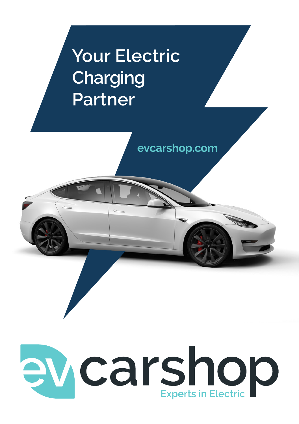